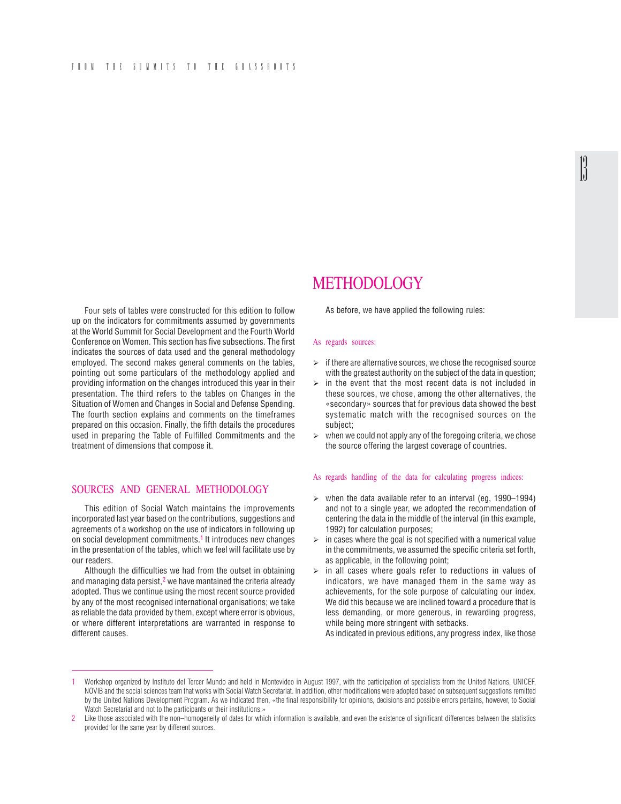#### FROM THE SUMMITS TO THE GRASSROOTS

Four sets of tables were constructed for this edition to follow up on the indicators for commitments assumed by governments at the World Summit for Social Development and the Fourth World Conference on Women. This section has five subsections. The first indicates the sources of data used and the general methodology employed. The second makes general comments on the tables, pointing out some particulars of the methodology applied and providing information on the changes introduced this year in their presentation. The third refers to the tables on Changes in the Situation of Women and Changes in Social and Defense Spending. The fourth section explains and comments on the timeframes prepared on this occasion. Finally, the fifth details the procedures used in preparing the Table of Fulfilled Commitments and the treatment of dimensions that compose it.

# SOURCES AND GENERAL METHODOLOGY

This edition of Social Watch maintains the improvements incorporated last year based on the contributions, suggestions and agreements of a workshop on the use of indicators in following up on social development commitments.1 It introduces new changes in the presentation of the tables, which we feel will facilitate use by our readers.

Although the difficulties we had from the outset in obtaining and managing data persist, $2$  we have mantained the criteria already adopted. Thus we continue using the most recent source provided by any of the most recognised international organisations; we take as reliable the data provided by them, except where error is obvious, or where different interpretations are warranted in response to different causes.

# METHODOLOGY

As before, we have applied the following rules:

#### As regards sources:

 $\geq$  if there are alternative sources, we chose the recognised source with the greatest authority on the subject of the data in question:  $\mathbb{R}$ 

- $\geq$  in the event that the most recent data is not included in these sources, we chose, among the other alternatives, the «secondary» sources that for previous data showed the best systematic match with the recognised sources on the subject;
- $\triangleright$  when we could not apply any of the foregoing criteria, we chose the source offering the largest coverage of countries.

#### As regards handling of the data for calculating progress indices:

- $\triangleright$  when the data available refer to an interval (eg, 1990–1994) and not to a single year, we adopted the recommendation of centering the data in the middle of the interval (in this example, 1992) for calculation purposes;
- $\geq$  in cases where the goal is not specified with a numerical value in the commitments, we assumed the specific criteria set forth, as applicable, in the following point;
- $\triangleright$  in all cases where goals refer to reductions in values of indicators, we have managed them in the same way as achievements, for the sole purpose of calculating our index. We did this because we are inclined toward a procedure that is less demanding, or more generous, in rewarding progress, while being more stringent with setbacks.

As indicated in previous editions, any progress index, like those

<sup>1</sup> Workshop organized by Instituto del Tercer Mundo and held in Montevideo in August 1997, with the participation of specialists from the United Nations, UNICEF, NOVIB and the social sciences team that works with Social Watch Secretariat. In addition, other modifications were adopted based on subsequent suggestions remitted by the United Nations Development Program. As we indicated then, «the final responsibility for opinions, decisions and possible errors pertains, however, to Social Watch Secretariat and not to the participants or their institutions.»

Like those associated with the non–homogeneity of dates for which information is available, and even the existence of significant differences between the statistics provided for the same year by different sources.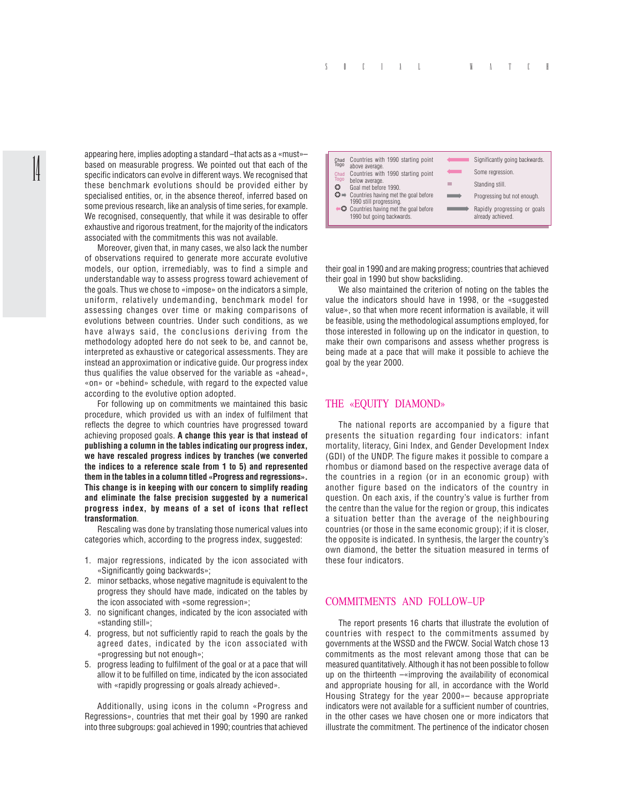appearing here, implies adopting a standard –that acts as a «must»– based on measurable progress. We pointed out that each of the specific indicators can evolve in different ways. We recognised that these benchmark evolutions should be provided either by specialised entities, or, in the absence thereof, inferred based on some previous research, like an analysis of time series, for example. We recognised, consequently, that while it was desirable to offer exhaustive and rigorous treatment, for the majority of the indicators associated with the commitments this was not available.

14

Moreover, given that, in many cases, we also lack the number of observations required to generate more accurate evolutive models, our option, irremediably, was to find a simple and understandable way to assess progress toward achievement of the goals. Thus we chose to «impose» on the indicators a simple, uniform, relatively undemanding, benchmark model for assessing changes over time or making comparisons of evolutions between countries. Under such conditions, as we have always said, the conclusions deriving from the methodology adopted here do not seek to be, and cannot be, interpreted as exhaustive or categorical assessments. They are instead an approximation or indicative guide. Our progress index thus qualifies the value observed for the variable as «ahead», «on» or «behind» schedule, with regard to the expected value according to the evolutive option adopted.

For following up on commitments we maintained this basic procedure, which provided us with an index of fulfilment that reflects the degree to which countries have progressed toward achieving proposed goals. **A change this year is that instead of publishing a column in the tables indicating our progress index, we have rescaled progress indices by tranches (we converted the indices to a reference scale from 1 to 5) and represented them in the tables in a column titled «Progress and regressions». This change is in keeping with our concern to simplify reading and eliminate the false precision suggested by a numerical progress index, by means of a set of icons that reflect transformation**.

Rescaling was done by translating those numerical values into categories which, according to the progress index, suggested:

- 1. major regressions, indicated by the icon associated with «Significantly going backwards»;
- 2. minor setbacks, whose negative magnitude is equivalent to the progress they should have made, indicated on the tables by the icon associated with «some regression»;
- 3. no significant changes, indicated by the icon associated with «standing still»;
- 4. progress, but not sufficiently rapid to reach the goals by the agreed dates, indicated by the icon associated with «progressing but not enough»;
- 5. progress leading to fulfilment of the goal or at a pace that will allow it to be fulfilled on time, indicated by the icon associated with «rapidly progressing or goals already achieved».

Additionally, using icons in the column «Progress and Regressions», countries that met their goal by 1990 are ranked into three subgroups: goal achieved in 1990; countries that achieved



their goal in 1990 and are making progress; countries that achieved their goal in 1990 but show backsliding.

We also maintained the criterion of noting on the tables the value the indicators should have in 1998, or the «suggested value», so that when more recent information is available, it will be feasible, using the methodological assumptions employed, for those interested in following up on the indicator in question, to make their own comparisons and assess whether progress is being made at a pace that will make it possible to achieve the goal by the year 2000.

#### THE «EQUITY DIAMOND»

The national reports are accompanied by a figure that presents the situation regarding four indicators: infant mortality, literacy, Gini Index, and Gender Development Index (GDI) of the UNDP. The figure makes it possible to compare a rhombus or diamond based on the respective average data of the countries in a region (or in an economic group) with another figure based on the indicators of the country in question. On each axis, if the country's value is further from the centre than the value for the region or group, this indicates a situation better than the average of the neighbouring countries (or those in the same economic group); if it is closer, the opposite is indicated. In synthesis, the larger the country's own diamond, the better the situation measured in terms of these four indicators.

#### COMMITMENTS AND FOLLOW–UP

The report presents 16 charts that illustrate the evolution of countries with respect to the commitments assumed by governments at the WSSD and the FWCW. Social Watch chose 13 commitments as the most relevant among those that can be measured quantitatively. Although it has not been possible to follow up on the thirteenth –«improving the availability of economical and appropriate housing for all, in accordance with the World Housing Strategy for the year 2000»– because appropriate indicators were not available for a sufficient number of countries, in the other cases we have chosen one or more indicators that illustrate the commitment. The pertinence of the indicator chosen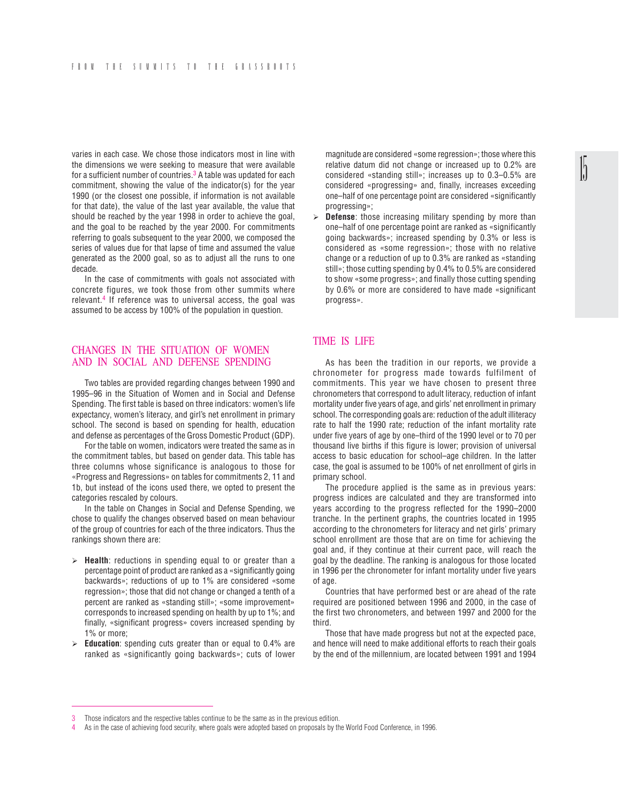varies in each case. We chose those indicators most in line with the dimensions we were seeking to measure that were available for a sufficient number of countries.<sup>3</sup> A table was updated for each commitment, showing the value of the indicator(s) for the year 1990 (or the closest one possible, if information is not available for that date), the value of the last year available, the value that should be reached by the year 1998 in order to achieve the goal, and the goal to be reached by the year 2000. For commitments referring to goals subsequent to the year 2000, we composed the series of values due for that lapse of time and assumed the value generated as the 2000 goal, so as to adjust all the runs to one decade.

In the case of commitments with goals not associated with concrete figures, we took those from other summits where relevant.4 If reference was to universal access, the goal was assumed to be access by 100% of the population in question.

#### CHANGES IN THE SITUATION OF WOMEN AND IN SOCIAL AND DEFENSE SPENDING

Two tables are provided regarding changes between 1990 and 1995–96 in the Situation of Women and in Social and Defense Spending. The first table is based on three indicators: women's life expectancy, women's literacy, and girl's net enrollment in primary school. The second is based on spending for health, education and defense as percentages of the Gross Domestic Product (GDP).

For the table on women, indicators were treated the same as in the commitment tables, but based on gender data. This table has three columns whose significance is analogous to those for «Progress and Regressions» on tables for commitments 2, 11 and 1b, but instead of the icons used there, we opted to present the categories rescaled by colours.

In the table on Changes in Social and Defense Spending, we chose to qualify the changes observed based on mean behaviour of the group of countries for each of the three indicators. Thus the rankings shown there are:

- ¾ **Health**: reductions in spending equal to or greater than a percentage point of product are ranked as a «significantly going backwards»; reductions of up to 1% are considered «some regression»; those that did not change or changed a tenth of a percent are ranked as «standing still»; «some improvement» corresponds to increased spending on health by up to 1%; and finally, «significant progress» covers increased spending by 1% or more;
- ¾ **Education**: spending cuts greater than or equal to 0.4% are ranked as «significantly going backwards»; cuts of lower

magnitude are considered «some regression»; those where this relative datum did not change or increased up to 0.2% are considered «standing still»; increases up to 0.3–0.5% are considered «progressing» and, finally, increases exceeding one–half of one percentage point are considered «significantly progressing»;

**Defense**: those increasing military spending by more than one–half of one percentage point are ranked as «significantly going backwards»; increased spending by 0.3% or less is considered as «some regression»; those with no relative change or a reduction of up to 0.3% are ranked as «standing still»; those cutting spending by 0.4% to 0.5% are considered to show «some progress»; and finally those cutting spending by 0.6% or more are considered to have made «significant progress».

# TIME IS LIFE

As has been the tradition in our reports, we provide a chronometer for progress made towards fulfilment of commitments. This year we have chosen to present three chronometers that correspond to adult literacy, reduction of infant mortality under five years of age, and girls' net enrollment in primary school. The corresponding goals are: reduction of the adult illiteracy rate to half the 1990 rate; reduction of the infant mortality rate under five years of age by one–third of the 1990 level or to 70 per thousand live births if this figure is lower; provision of universal access to basic education for school–age children. In the latter case, the goal is assumed to be 100% of net enrollment of girls in primary school.

The procedure applied is the same as in previous years: progress indices are calculated and they are transformed into years according to the progress reflected for the 1990–2000 tranche. In the pertinent graphs, the countries located in 1995 according to the chronometers for literacy and net girls' primary school enrollment are those that are on time for achieving the goal and, if they continue at their current pace, will reach the goal by the deadline. The ranking is analogous for those located in 1996 per the chronometer for infant mortality under five years of age.

Countries that have performed best or are ahead of the rate required are positioned between 1996 and 2000, in the case of the first two chronometers, and between 1997 and 2000 for the third.

Those that have made progress but not at the expected pace, and hence will need to make additional efforts to reach their goals by the end of the millennium, are located between 1991 and 1994

Those indicators and the respective tables continue to be the same as in the previous edition.

<sup>4</sup> As in the case of achieving food security, where goals were adopted based on proposals by the World Food Conference, in 1996.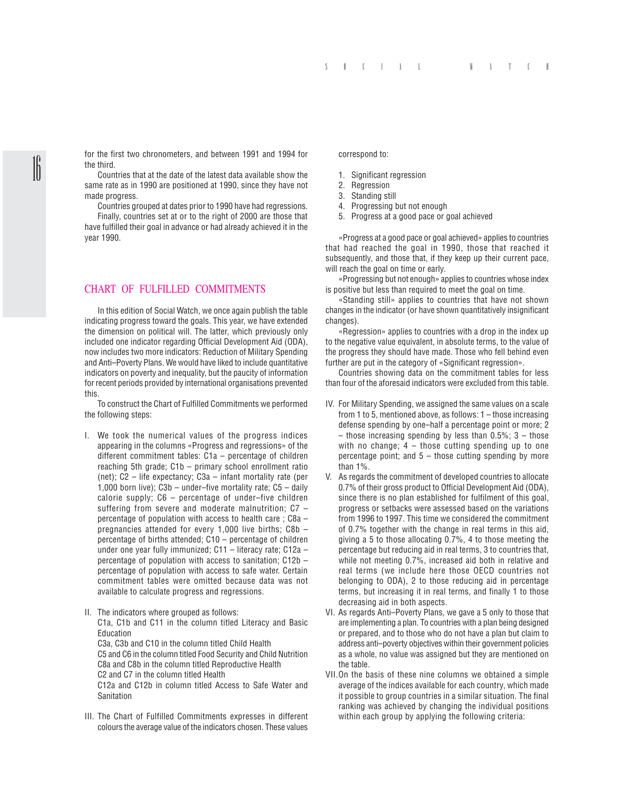for the first two chronometers, and between 1991 and 1994 for the third.

Countries that at the date of the latest data available show the same rate as in 1990 are positioned at 1990, since they have not made progress.

 $\parallel$ 

Countries grouped at dates prior to 1990 have had regressions.

Finally, countries set at or to the right of 2000 are those that have fulfilled their goal in advance or had already achieved it in the year 1990.

### CHART OF FULFILLED COMMITMENTS

In this edition of Social Watch, we once again publish the table indicating progress toward the goals. This year, we have extended the dimension on political will. The latter, which previously only included one indicator regarding Official Development Aid (ODA), now includes two more indicators: Reduction of Military Spending and Anti–Poverty Plans. We would have liked to include quantitative indicators on poverty and inequality, but the paucity of information for recent periods provided by international organisations prevented this.

To construct the Chart of Fulfilled Commitments we performed the following steps:

- I. We took the numerical values of the progress indices appearing in the columns «Progress and regressions» of the different commitment tables: C1a – percentage of children reaching 5th grade; C1b – primary school enrollment ratio (net); C2 – life expectancy; C3a – infant mortality rate (per 1,000 born live); C3b – under–five mortality rate; C5 – daily calorie supply; C6 – percentage of under–five children suffering from severe and moderate malnutrition; C7 percentage of population with access to health care ; C8a – pregnancies attended for every 1,000 live births; C8b – percentage of births attended; C10 – percentage of children under one year fully immunized; C11 – literacy rate; C12a – percentage of population with access to sanitation; C12b – percentage of population with access to safe water. Certain commitment tables were omitted because data was not available to calculate progress and regressions.
- II. The indicators where grouped as follows: C1a, C1b and C11 in the column titled Literacy and Basic **Education** C3a, C3b and C10 in the column titled Child Health C5 and C6 in the column titled Food Security and Child Nutrition C8a and C8b in the column titled Reproductive Health C2 and C7 in the column titled Health C12a and C12b in column titled Access to Safe Water and **Sanitation**
- III. The Chart of Fulfilled Commitments expresses in different colours the average value of the indicators chosen. These values

#### correspond to:

- 1. Significant regression
- 2. Regression
- 3. Standing still
- 4. Progressing but not enough
- 5. Progress at a good pace or goal achieved

«Progress at a good pace or goal achieved» applies to countries that had reached the goal in 1990, those that reached it subsequently, and those that, if they keep up their current pace, will reach the goal on time or early.

«Progressing but not enough» applies to countries whose index is positive but less than required to meet the goal on time.

«Standing still» applies to countries that have not shown changes in the indicator (or have shown quantitatively insignificant changes).

«Regression» applies to countries with a drop in the index up to the negative value equivalent, in absolute terms, to the value of the progress they should have made. Those who fell behind even further are put in the category of «Significant regression».

Countries showing data on the commitment tables for less than four of the aforesaid indicators were excluded from this table.

- IV. For Military Spending, we assigned the same values on a scale from 1 to 5, mentioned above, as follows: 1 – those increasing defense spending by one–half a percentage point or more; 2  $-$  those increasing spending by less than 0.5%; 3 – those with no change;  $4$  – those cutting spending up to one percentage point; and  $5 -$  those cutting spending by more than 1%.
- V. As regards the commitment of developed countries to allocate 0.7% of their gross product to Official Development Aid (ODA), since there is no plan established for fulfilment of this goal, progress or setbacks were assessed based on the variations from 1996 to 1997. This time we considered the commitment of 0.7% together with the change in real terms in this aid, giving a 5 to those allocating 0.7%, 4 to those meeting the percentage but reducing aid in real terms, 3 to countries that, while not meeting 0.7%, increased aid both in relative and real terms (we include here those OECD countries not belonging to ODA), 2 to those reducing aid in percentage terms, but increasing it in real terms, and finally 1 to those decreasing aid in both aspects.
- VI. As regards Anti–Poverty Plans, we gave a 5 only to those that are implementing a plan. To countries with a plan being designed or prepared, and to those who do not have a plan but claim to address anti–poverty objectives within their government policies as a whole, no value was assigned but they are mentioned on the table.
- VII.On the basis of these nine columns we obtained a simple average of the indices available for each country, which made it possible to group countries in a similar situation. The final ranking was achieved by changing the individual positions within each group by applying the following criteria: